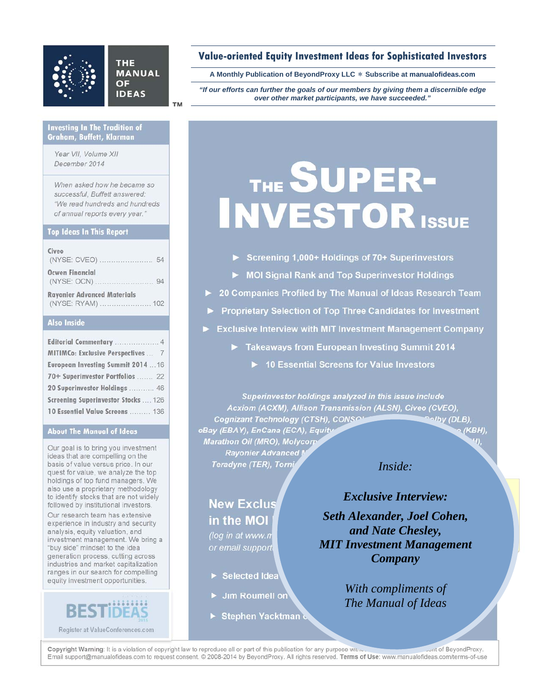# **THE MANUAL** OF **IDEAS**

# **Value-oriented Equity Investment Ideas for Sophisticated Investors**

**A Monthly Publication of BeyondProxy LLC Subscribe at manualofideas.com**

*"If our efforts can further the goals of our members by giving them a discernible edge over other market participants, we have succeeded."* 

### **Investing In The Tradition of Graham, Buffett, Klarman**

*Year VII, Volume XII December 2014* 

*When asked how he became so successful, Buffett answered: "We read hundreds and hundreds of annual reports every year."* 

# **Top Ideas In This Report**

| Civeo                                                   |  |
|---------------------------------------------------------|--|
| <b>Ocwen Financial</b>                                  |  |
| <b>Rayonier Advanced Materials</b><br>(NYSE: RYAM)  102 |  |

## **Also Inside**

| MITIMCo: Exclusive Perspectives  7  |
|-------------------------------------|
| European Investing Summit 2014  16  |
| 70+ Superinvestor Portfolios  22    |
| 20 Superinvestor Holdings  46       |
| Screening Superinvestor Stocks  126 |
| 10 Essential Value Screens  136     |

### **About The Manual of Ideas**

Our goal is to bring you investment ideas that are compelling on the basis of value versus price. In our quest for value, we analyze the top holdings of top fund managers. We also use a proprietary methodology to identify stocks that are not widely followed by institutional investors.

Our research team has extensive experience in industry and security analysis, equity valuation, and investment management. We bring a "buy side" mindset to the idea generation process, cutting across industries and market capitalization ranges in our search for compelling equity investment opportunities.

**Register at ValueConferences.com**

# THE SUPER-INVESTOR ISSUE

- ► **MOI Signal Rank and Top Superinvestor Holdings**
- ► **20 Companies Profiled by The Manual of Ideas Research Team**
- ► **Proprietary Selection of Top Three Candidates for Investment**
- **Exclusive Interview with MIT Investment Management Company** 
	- ► **Takeaways from European Investing Summit 2014** 
		- ► **10 Essential Screens for Value Investors**

*Superinvestor holdings analyzed in this issue include Acxiom (ACXM), Allison Transmission (ALSN), Civeo (CVEO),*  Cognizant Technology (CTSH), CONSOL **Energy (Poly (DLB)**, **eBay (EBAY), EnCana (ECA), Equity Common Common Common Common Common Common Common Common Common Common Common Common Common Common Common Common Common Common Common Common Common Common Common Common Common Common Commo** *Marathon Oil (MRO), Molycorp Rayonier Advanced M Teradyne (TER), Torni* 

# *Inside:*

**New Exclus in the MOI** *(log in at www.m* 

 $or$  email support

- $\blacktriangleright$  Selected Idea
- $\blacktriangleright$  Jim Roumell on
- **Stephen Yacktman &**

**Exclusive Interview: Exclusive Interview:**  $\mathbf{B}$  is the full state. **Seth Alexander, Joel Cohen,**  $\Box$ and Nate Chesley, *and Nate Chesley, MIT Investment Management Company* 

> *With compliments of The Manual of Ideas*

Copyright Warning: It is a violation of copyright law to reproduce all or part of this publication for any purpose without the prior written consent of BeyondProxy. Email support@manualofideas.com to request consent. © 2008-2014 by BeyondProxy. All rights reserved. **Terms of Use**: www.manualofideas.com/terms-of-use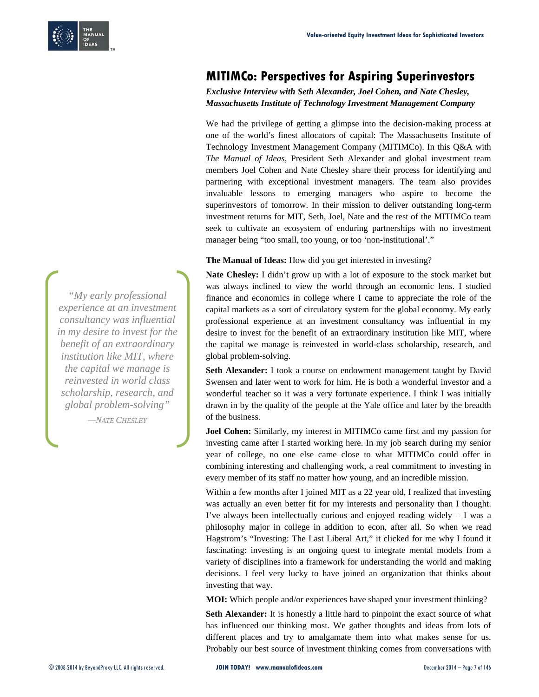

# **MITIMCo: Perspectives for Aspiring Superinvestors**

*Exclusive Interview with Seth Alexander, Joel Cohen, and Nate Chesley, Massachusetts Institute of Technology Investment Management Company* 

We had the privilege of getting a glimpse into the decision-making process at one of the world's finest allocators of capital: The Massachusetts Institute of Technology Investment Management Company (MITIMCo). In this Q&A with *The Manual of Ideas*, President Seth Alexander and global investment team members Joel Cohen and Nate Chesley share their process for identifying and partnering with exceptional investment managers. The team also provides invaluable lessons to emerging managers who aspire to become the superinvestors of tomorrow. In their mission to deliver outstanding long-term investment returns for MIT, Seth, Joel, Nate and the rest of the MITIMCo team seek to cultivate an ecosystem of enduring partnerships with no investment manager being "too small, too young, or too 'non-institutional'."

**The Manual of Ideas:** How did you get interested in investing?

**Nate Chesley:** I didn't grow up with a lot of exposure to the stock market but was always inclined to view the world through an economic lens. I studied finance and economics in college where I came to appreciate the role of the capital markets as a sort of circulatory system for the global economy. My early professional experience at an investment consultancy was influential in my desire to invest for the benefit of an extraordinary institution like MIT, where the capital we manage is reinvested in world-class scholarship, research, and global problem-solving.

**Seth Alexander:** I took a course on endowment management taught by David Swensen and later went to work for him. He is both a wonderful investor and a wonderful teacher so it was a very fortunate experience. I think I was initially drawn in by the quality of the people at the Yale office and later by the breadth of the business.

**Joel Cohen:** Similarly, my interest in MITIMCo came first and my passion for investing came after I started working here. In my job search during my senior year of college, no one else came close to what MITIMCo could offer in combining interesting and challenging work, a real commitment to investing in every member of its staff no matter how young, and an incredible mission.

Within a few months after I joined MIT as a 22 year old, I realized that investing was actually an even better fit for my interests and personality than I thought. I've always been intellectually curious and enjoyed reading widely  $- I$  was a philosophy major in college in addition to econ, after all. So when we read Hagstrom's "Investing: The Last Liberal Art," it clicked for me why I found it fascinating: investing is an ongoing quest to integrate mental models from a variety of disciplines into a framework for understanding the world and making decisions. I feel very lucky to have joined an organization that thinks about investing that way.

**MOI:** Which people and/or experiences have shaped your investment thinking?

**Seth Alexander:** It is honestly a little hard to pinpoint the exact source of what has influenced our thinking most. We gather thoughts and ideas from lots of different places and try to amalgamate them into what makes sense for us. Probably our best source of investment thinking comes from conversations with

*"My early professional experience at an investment consultancy was influential in my desire to invest for the benefit of an extraordinary institution like MIT, where the capital we manage is reinvested in world class scholarship, research, and global problem-solving"* 

*—NATE CHESLEY*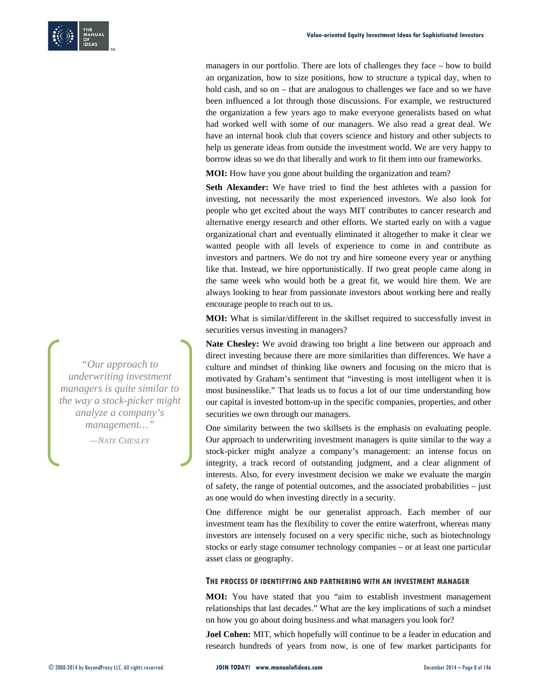

managers in our portfolio. There are lots of challenges they face – how to build an organization, how to size positions, how to structure a typical day, when to hold cash, and so on – that are analogous to challenges we face and so we have been influenced a lot through those discussions. For example, we restructured the organization a few years ago to make everyone generalists based on what had worked well with some of our managers. We also read a great deal. We have an internal book club that covers science and history and other subjects to help us generate ideas from outside the investment world. We are very happy to borrow ideas so we do that liberally and work to fit them into our frameworks.

**MOI:** How have you gone about building the organization and team?

**Seth Alexander:** We have tried to find the best athletes with a passion for investing, not necessarily the most experienced investors. We also look for people who get excited about the ways MIT contributes to cancer research and alternative energy research and other efforts. We started early on with a vague organizational chart and eventually eliminated it altogether to make it clear we wanted people with all levels of experience to come in and contribute as investors and partners. We do not try and hire someone every year or anything like that. Instead, we hire opportunistically. If two great people came along in the same week who would both be a great fit, we would hire them. We are always looking to hear from passionate investors about working here and really encourage people to reach out to us.

**MOI:** What is similar/different in the skillset required to successfully invest in securities versus investing in managers?

**Nate Chesley:** We avoid drawing too bright a line between our approach and direct investing because there are more similarities than differences. We have a culture and mindset of thinking like owners and focusing on the micro that is motivated by Graham's sentiment that "investing is most intelligent when it is most businesslike." That leads us to focus a lot of our time understanding how our capital is invested bottom-up in the specific companies, properties, and other securities we own through our managers.

One similarity between the two skillsets is the emphasis on evaluating people. Our approach to underwriting investment managers is quite similar to the way a stock-picker might analyze a company's management: an intense focus on integrity, a track record of outstanding judgment, and a clear alignment of interests. Also, for every investment decision we make we evaluate the margin of safety, the range of potential outcomes, and the associated probabilities – just as one would do when investing directly in a security.

One difference might be our generalist approach. Each member of our investment team has the flexibility to cover the entire waterfront, whereas many investors are intensely focused on a very specific niche, such as biotechnology stocks or early stage consumer technology companies – or at least one particular asset class or geography.

### **THE PROCESS OF IDENTIFYING AND PARTNERING WITH AN INVESTMENT MANAGER**

**MOI:** You have stated that you "aim to establish investment management relationships that last decades." What are the key implications of such a mindset on how you go about doing business and what managers you look for?

**Joel Cohen:** MIT, which hopefully will continue to be a leader in education and research hundreds of years from now, is one of few market participants for

*"Our approach to underwriting investment managers is quite similar to the way a stock-picker might analyze a company's management…" —NATE CHESLEY*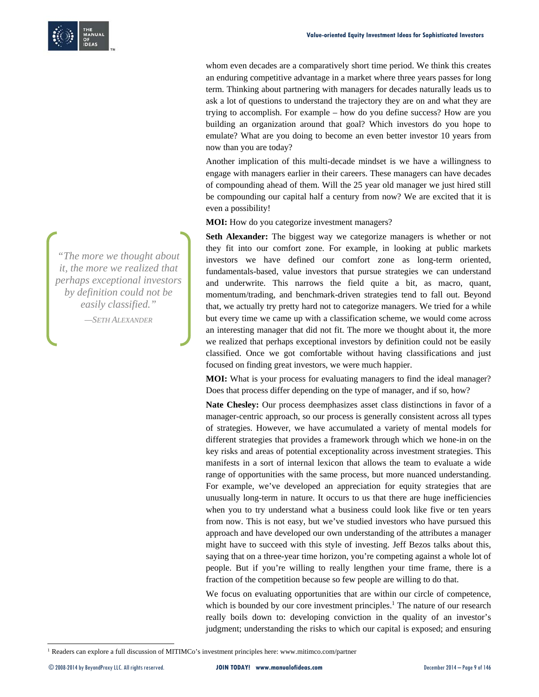

whom even decades are a comparatively short time period. We think this creates an enduring competitive advantage in a market where three years passes for long term. Thinking about partnering with managers for decades naturally leads us to ask a lot of questions to understand the trajectory they are on and what they are trying to accomplish. For example – how do you define success? How are you building an organization around that goal? Which investors do you hope to emulate? What are you doing to become an even better investor 10 years from now than you are today?

Another implication of this multi-decade mindset is we have a willingness to engage with managers earlier in their careers. These managers can have decades of compounding ahead of them. Will the 25 year old manager we just hired still be compounding our capital half a century from now? We are excited that it is even a possibility!

**MOI:** How do you categorize investment managers?

**Seth Alexander:** The biggest way we categorize managers is whether or not they fit into our comfort zone. For example, in looking at public markets investors we have defined our comfort zone as long-term oriented, fundamentals-based, value investors that pursue strategies we can understand and underwrite. This narrows the field quite a bit, as macro, quant, momentum/trading, and benchmark-driven strategies tend to fall out. Beyond that, we actually try pretty hard not to categorize managers. We tried for a while but every time we came up with a classification scheme, we would come across an interesting manager that did not fit. The more we thought about it, the more we realized that perhaps exceptional investors by definition could not be easily classified. Once we got comfortable without having classifications and just focused on finding great investors, we were much happier.

**MOI:** What is your process for evaluating managers to find the ideal manager? Does that process differ depending on the type of manager, and if so, how?

**Nate Chesley:** Our process deemphasizes asset class distinctions in favor of a manager-centric approach, so our process is generally consistent across all types of strategies. However, we have accumulated a variety of mental models for different strategies that provides a framework through which we hone-in on the key risks and areas of potential exceptionality across investment strategies. This manifests in a sort of internal lexicon that allows the team to evaluate a wide range of opportunities with the same process, but more nuanced understanding. For example, we've developed an appreciation for equity strategies that are unusually long-term in nature. It occurs to us that there are huge inefficiencies when you to try understand what a business could look like five or ten years from now. This is not easy, but we've studied investors who have pursued this approach and have developed our own understanding of the attributes a manager might have to succeed with this style of investing. Jeff Bezos talks about this, saying that on a three-year time horizon, you're competing against a whole lot of people. But if you're willing to really lengthen your time frame, there is a fraction of the competition because so few people are willing to do that.

We focus on evaluating opportunities that are within our circle of competence, which is bounded by our core investment principles.<sup>1</sup> The nature of our research really boils down to: developing conviction in the quality of an investor's judgment; understanding the risks to which our capital is exposed; and ensuring

<sup>1</sup> Readers can explore a full discussion of MITIMCo's investment principles here: www.mitimco.com/partner

*"The more we thought about it, the more we realized that perhaps exceptional investors by definition could not be easily classified." —SETH ALEXANDER*

-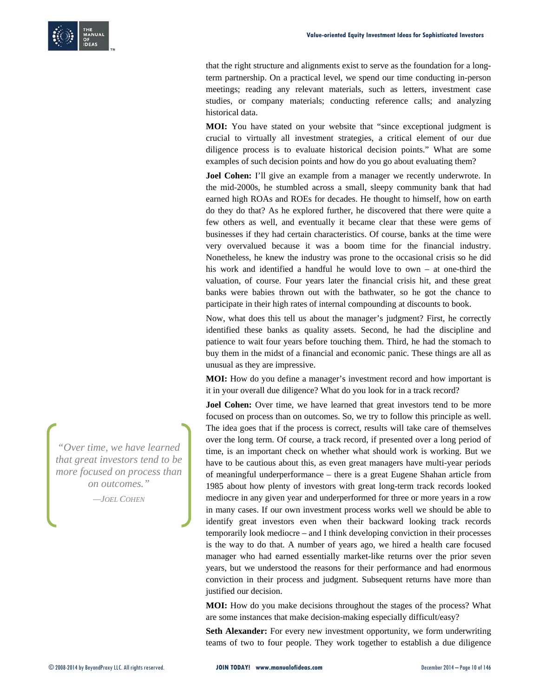that the right structure and alignments exist to serve as the foundation for a longterm partnership. On a practical level, we spend our time conducting in-person meetings; reading any relevant materials, such as letters, investment case studies, or company materials; conducting reference calls; and analyzing historical data.

**MOI:** You have stated on your website that "since exceptional judgment is crucial to virtually all investment strategies, a critical element of our due diligence process is to evaluate historical decision points." What are some examples of such decision points and how do you go about evaluating them?

**Joel Cohen:** I'll give an example from a manager we recently underwrote. In the mid-2000s, he stumbled across a small, sleepy community bank that had earned high ROAs and ROEs for decades. He thought to himself, how on earth do they do that? As he explored further, he discovered that there were quite a few others as well, and eventually it became clear that these were gems of businesses if they had certain characteristics. Of course, banks at the time were very overvalued because it was a boom time for the financial industry. Nonetheless, he knew the industry was prone to the occasional crisis so he did his work and identified a handful he would love to own – at one-third the valuation, of course. Four years later the financial crisis hit, and these great banks were babies thrown out with the bathwater, so he got the chance to participate in their high rates of internal compounding at discounts to book.

Now, what does this tell us about the manager's judgment? First, he correctly identified these banks as quality assets. Second, he had the discipline and patience to wait four years before touching them. Third, he had the stomach to buy them in the midst of a financial and economic panic. These things are all as unusual as they are impressive.

**MOI:** How do you define a manager's investment record and how important is it in your overall due diligence? What do you look for in a track record?

**Joel Cohen:** Over time, we have learned that great investors tend to be more focused on process than on outcomes. So, we try to follow this principle as well. The idea goes that if the process is correct, results will take care of themselves over the long term. Of course, a track record, if presented over a long period of time, is an important check on whether what should work is working. But we have to be cautious about this, as even great managers have multi-year periods of meaningful underperformance – there is a great Eugene Shahan article from 1985 about how plenty of investors with great long-term track records looked mediocre in any given year and underperformed for three or more years in a row in many cases. If our own investment process works well we should be able to identify great investors even when their backward looking track records temporarily look mediocre – and I think developing conviction in their processes is the way to do that. A number of years ago, we hired a health care focused manager who had earned essentially market-like returns over the prior seven years, but we understood the reasons for their performance and had enormous conviction in their process and judgment. Subsequent returns have more than justified our decision.

**MOI:** How do you make decisions throughout the stages of the process? What are some instances that make decision-making especially difficult/easy?

**Seth Alexander:** For every new investment opportunity, we form underwriting teams of two to four people. They work together to establish a due diligence

*"Over time, we have learned that great investors tend to be more focused on process than on outcomes."* 

*—JOEL COHEN*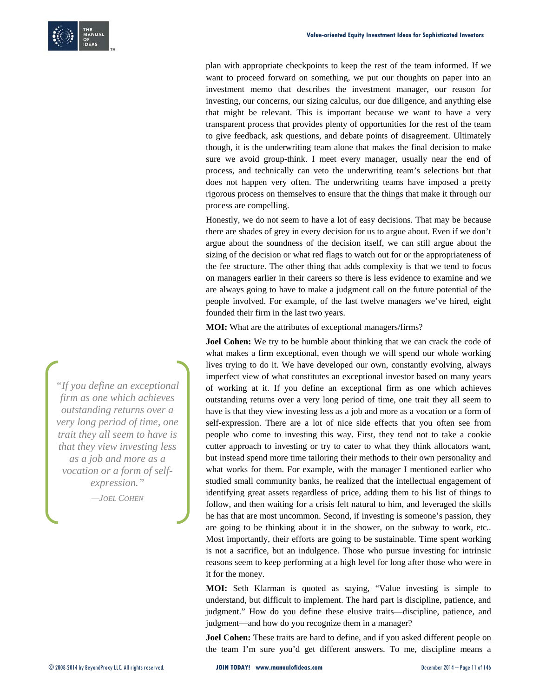plan with appropriate checkpoints to keep the rest of the team informed. If we want to proceed forward on something, we put our thoughts on paper into an investment memo that describes the investment manager, our reason for investing, our concerns, our sizing calculus, our due diligence, and anything else that might be relevant. This is important because we want to have a very transparent process that provides plenty of opportunities for the rest of the team to give feedback, ask questions, and debate points of disagreement. Ultimately though, it is the underwriting team alone that makes the final decision to make sure we avoid group-think. I meet every manager, usually near the end of process, and technically can veto the underwriting team's selections but that does not happen very often. The underwriting teams have imposed a pretty rigorous process on themselves to ensure that the things that make it through our process are compelling.

Honestly, we do not seem to have a lot of easy decisions. That may be because there are shades of grey in every decision for us to argue about. Even if we don't argue about the soundness of the decision itself, we can still argue about the sizing of the decision or what red flags to watch out for or the appropriateness of the fee structure. The other thing that adds complexity is that we tend to focus on managers earlier in their careers so there is less evidence to examine and we are always going to have to make a judgment call on the future potential of the people involved. For example, of the last twelve managers we've hired, eight founded their firm in the last two years.

**MOI:** What are the attributes of exceptional managers/firms?

**Joel Cohen:** We try to be humble about thinking that we can crack the code of what makes a firm exceptional, even though we will spend our whole working lives trying to do it. We have developed our own, constantly evolving, always imperfect view of what constitutes an exceptional investor based on many years of working at it. If you define an exceptional firm as one which achieves outstanding returns over a very long period of time, one trait they all seem to have is that they view investing less as a job and more as a vocation or a form of self-expression. There are a lot of nice side effects that you often see from people who come to investing this way. First, they tend not to take a cookie cutter approach to investing or try to cater to what they think allocators want, but instead spend more time tailoring their methods to their own personality and what works for them. For example, with the manager I mentioned earlier who studied small community banks, he realized that the intellectual engagement of identifying great assets regardless of price, adding them to his list of things to follow, and then waiting for a crisis felt natural to him, and leveraged the skills he has that are most uncommon. Second, if investing is someone's passion, they are going to be thinking about it in the shower, on the subway to work, etc.. Most importantly, their efforts are going to be sustainable. Time spent working is not a sacrifice, but an indulgence. Those who pursue investing for intrinsic reasons seem to keep performing at a high level for long after those who were in it for the money.

**MOI:** Seth Klarman is quoted as saying, "Value investing is simple to understand, but difficult to implement. The hard part is discipline, patience, and judgment." How do you define these elusive traits—discipline, patience, and judgment—and how do you recognize them in a manager?

**Joel Cohen:** These traits are hard to define, and if you asked different people on the team I'm sure you'd get different answers. To me, discipline means a

*"If you define an exceptional firm as one which achieves outstanding returns over a very long period of time, one trait they all seem to have is that they view investing less as a job and more as a vocation or a form of selfexpression."* 

*—JOEL COHEN*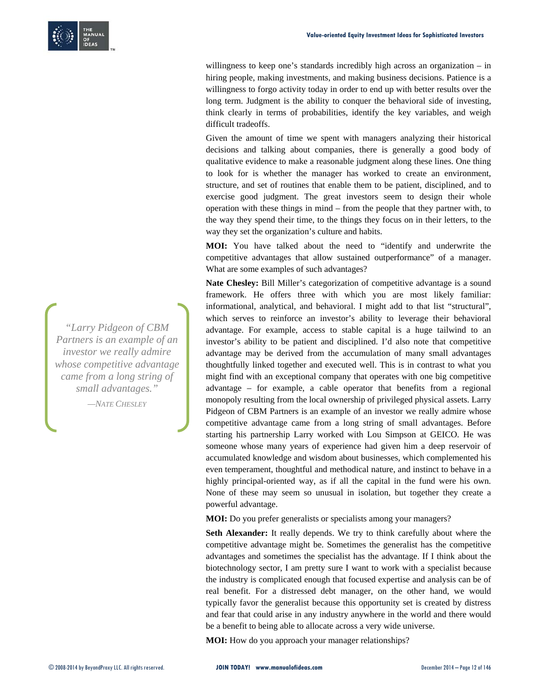

willingness to keep one's standards incredibly high across an organization – in hiring people, making investments, and making business decisions. Patience is a willingness to forgo activity today in order to end up with better results over the long term. Judgment is the ability to conquer the behavioral side of investing, think clearly in terms of probabilities, identify the key variables, and weigh difficult tradeoffs.

Given the amount of time we spent with managers analyzing their historical decisions and talking about companies, there is generally a good body of qualitative evidence to make a reasonable judgment along these lines. One thing to look for is whether the manager has worked to create an environment, structure, and set of routines that enable them to be patient, disciplined, and to exercise good judgment. The great investors seem to design their whole operation with these things in mind – from the people that they partner with, to the way they spend their time, to the things they focus on in their letters, to the way they set the organization's culture and habits.

**MOI:** You have talked about the need to "identify and underwrite the competitive advantages that allow sustained outperformance" of a manager. What are some examples of such advantages?

**Nate Chesley:** Bill Miller's categorization of competitive advantage is a sound framework. He offers three with which you are most likely familiar: informational, analytical, and behavioral. I might add to that list "structural", which serves to reinforce an investor's ability to leverage their behavioral advantage. For example, access to stable capital is a huge tailwind to an investor's ability to be patient and disciplined. I'd also note that competitive advantage may be derived from the accumulation of many small advantages thoughtfully linked together and executed well. This is in contrast to what you might find with an exceptional company that operates with one big competitive advantage – for example, a cable operator that benefits from a regional monopoly resulting from the local ownership of privileged physical assets. Larry Pidgeon of CBM Partners is an example of an investor we really admire whose competitive advantage came from a long string of small advantages. Before starting his partnership Larry worked with Lou Simpson at GEICO. He was someone whose many years of experience had given him a deep reservoir of accumulated knowledge and wisdom about businesses, which complemented his even temperament, thoughtful and methodical nature, and instinct to behave in a highly principal-oriented way, as if all the capital in the fund were his own. None of these may seem so unusual in isolation, but together they create a powerful advantage.

**MOI:** Do you prefer generalists or specialists among your managers?

**Seth Alexander:** It really depends. We try to think carefully about where the competitive advantage might be. Sometimes the generalist has the competitive advantages and sometimes the specialist has the advantage. If I think about the biotechnology sector, I am pretty sure I want to work with a specialist because the industry is complicated enough that focused expertise and analysis can be of real benefit. For a distressed debt manager, on the other hand, we would typically favor the generalist because this opportunity set is created by distress and fear that could arise in any industry anywhere in the world and there would be a benefit to being able to allocate across a very wide universe.

**MOI:** How do you approach your manager relationships?

*"Larry Pidgeon of CBM Partners is an example of an investor we really admire whose competitive advantage came from a long string of small advantages." —NATE CHESLEY*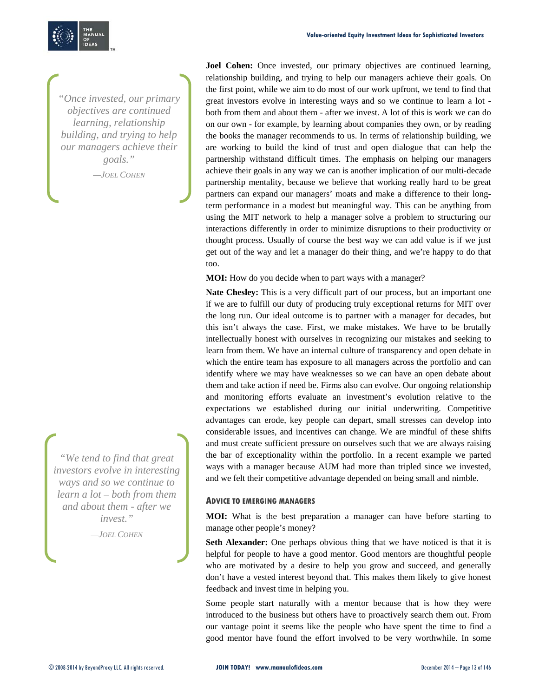

*"Once invested, our primary objectives are continued learning, relationship building, and trying to help our managers achieve their goals."* 

*—JOEL COHEN*

*"We tend to find that great investors evolve in interesting ways and so we continue to learn a lot – both from them and about them - after we invest."* 

*—JOEL COHEN*

**Joel Cohen:** Once invested, our primary objectives are continued learning, relationship building, and trying to help our managers achieve their goals. On the first point, while we aim to do most of our work upfront, we tend to find that great investors evolve in interesting ways and so we continue to learn a lot both from them and about them - after we invest. A lot of this is work we can do on our own - for example, by learning about companies they own, or by reading the books the manager recommends to us. In terms of relationship building, we are working to build the kind of trust and open dialogue that can help the partnership withstand difficult times. The emphasis on helping our managers achieve their goals in any way we can is another implication of our multi-decade partnership mentality, because we believe that working really hard to be great partners can expand our managers' moats and make a difference to their longterm performance in a modest but meaningful way. This can be anything from using the MIT network to help a manager solve a problem to structuring our interactions differently in order to minimize disruptions to their productivity or thought process. Usually of course the best way we can add value is if we just get out of the way and let a manager do their thing, and we're happy to do that too.

**MOI:** How do you decide when to part ways with a manager?

**Nate Chesley:** This is a very difficult part of our process, but an important one if we are to fulfill our duty of producing truly exceptional returns for MIT over the long run. Our ideal outcome is to partner with a manager for decades, but this isn't always the case. First, we make mistakes. We have to be brutally intellectually honest with ourselves in recognizing our mistakes and seeking to learn from them. We have an internal culture of transparency and open debate in which the entire team has exposure to all managers across the portfolio and can identify where we may have weaknesses so we can have an open debate about them and take action if need be. Firms also can evolve. Our ongoing relationship and monitoring efforts evaluate an investment's evolution relative to the expectations we established during our initial underwriting. Competitive advantages can erode, key people can depart, small stresses can develop into considerable issues, and incentives can change. We are mindful of these shifts and must create sufficient pressure on ourselves such that we are always raising the bar of exceptionality within the portfolio. In a recent example we parted ways with a manager because AUM had more than tripled since we invested, and we felt their competitive advantage depended on being small and nimble.

### **ADVICE TO EMERGING MANAGERS**

**MOI:** What is the best preparation a manager can have before starting to manage other people's money?

Seth Alexander: One perhaps obvious thing that we have noticed is that it is helpful for people to have a good mentor. Good mentors are thoughtful people who are motivated by a desire to help you grow and succeed, and generally don't have a vested interest beyond that. This makes them likely to give honest feedback and invest time in helping you.

Some people start naturally with a mentor because that is how they were introduced to the business but others have to proactively search them out. From our vantage point it seems like the people who have spent the time to find a good mentor have found the effort involved to be very worthwhile. In some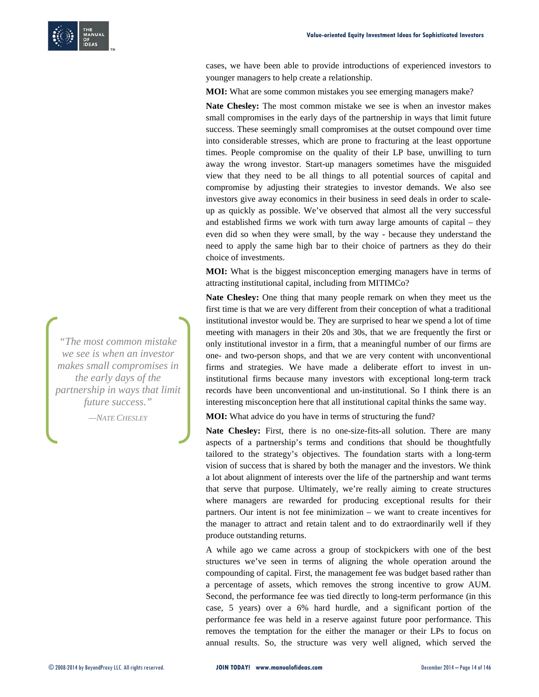

cases, we have been able to provide introductions of experienced investors to younger managers to help create a relationship.

**MOI:** What are some common mistakes you see emerging managers make?

**Nate Chesley:** The most common mistake we see is when an investor makes small compromises in the early days of the partnership in ways that limit future success. These seemingly small compromises at the outset compound over time into considerable stresses, which are prone to fracturing at the least opportune times. People compromise on the quality of their LP base, unwilling to turn away the wrong investor. Start-up managers sometimes have the misguided view that they need to be all things to all potential sources of capital and compromise by adjusting their strategies to investor demands. We also see investors give away economics in their business in seed deals in order to scaleup as quickly as possible. We've observed that almost all the very successful and established firms we work with turn away large amounts of capital – they even did so when they were small, by the way - because they understand the need to apply the same high bar to their choice of partners as they do their choice of investments.

**MOI:** What is the biggest misconception emerging managers have in terms of attracting institutional capital, including from MITIMCo?

**Nate Chesley:** One thing that many people remark on when they meet us the first time is that we are very different from their conception of what a traditional institutional investor would be. They are surprised to hear we spend a lot of time meeting with managers in their 20s and 30s, that we are frequently the first or only institutional investor in a firm, that a meaningful number of our firms are one- and two-person shops, and that we are very content with unconventional firms and strategies. We have made a deliberate effort to invest in uninstitutional firms because many investors with exceptional long-term track records have been unconventional and un-institutional. So I think there is an interesting misconception here that all institutional capital thinks the same way.

**MOI:** What advice do you have in terms of structuring the fund?

Nate Chesley: First, there is no one-size-fits-all solution. There are many aspects of a partnership's terms and conditions that should be thoughtfully tailored to the strategy's objectives. The foundation starts with a long-term vision of success that is shared by both the manager and the investors. We think a lot about alignment of interests over the life of the partnership and want terms that serve that purpose. Ultimately, we're really aiming to create structures where managers are rewarded for producing exceptional results for their partners. Our intent is not fee minimization – we want to create incentives for the manager to attract and retain talent and to do extraordinarily well if they produce outstanding returns.

A while ago we came across a group of stockpickers with one of the best structures we've seen in terms of aligning the whole operation around the compounding of capital. First, the management fee was budget based rather than a percentage of assets, which removes the strong incentive to grow AUM. Second, the performance fee was tied directly to long-term performance (in this case, 5 years) over a 6% hard hurdle, and a significant portion of the performance fee was held in a reserve against future poor performance. This removes the temptation for the either the manager or their LPs to focus on annual results. So, the structure was very well aligned, which served the

*"The most common mistake we see is when an investor makes small compromises in the early days of the partnership in ways that limit future success." —NATE CHESLEY*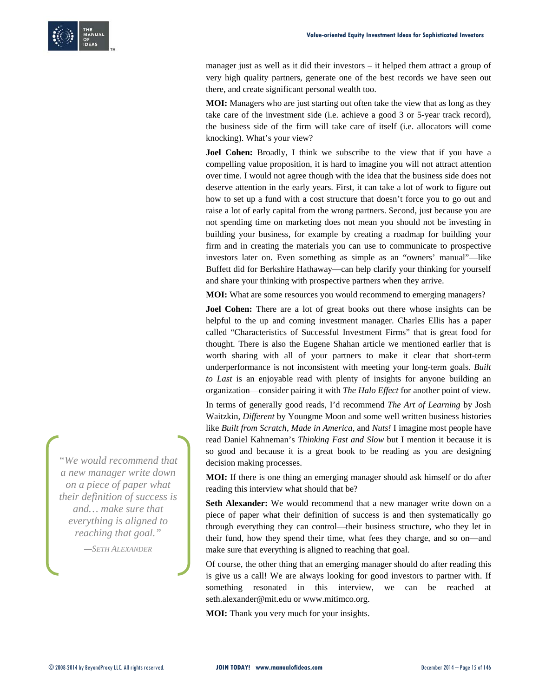manager just as well as it did their investors – it helped them attract a group of very high quality partners, generate one of the best records we have seen out there, and create significant personal wealth too.

**MOI:** Managers who are just starting out often take the view that as long as they take care of the investment side (i.e. achieve a good 3 or 5-year track record), the business side of the firm will take care of itself (i.e. allocators will come knocking). What's your view?

**Joel Cohen:** Broadly, I think we subscribe to the view that if you have a compelling value proposition, it is hard to imagine you will not attract attention over time. I would not agree though with the idea that the business side does not deserve attention in the early years. First, it can take a lot of work to figure out how to set up a fund with a cost structure that doesn't force you to go out and raise a lot of early capital from the wrong partners. Second, just because you are not spending time on marketing does not mean you should not be investing in building your business, for example by creating a roadmap for building your firm and in creating the materials you can use to communicate to prospective investors later on. Even something as simple as an "owners' manual"—like Buffett did for Berkshire Hathaway—can help clarify your thinking for yourself and share your thinking with prospective partners when they arrive.

**MOI:** What are some resources you would recommend to emerging managers?

**Joel Cohen:** There are a lot of great books out there whose insights can be helpful to the up and coming investment manager. Charles Ellis has a paper called "Characteristics of Successful Investment Firms" that is great food for thought. There is also the Eugene Shahan article we mentioned earlier that is worth sharing with all of your partners to make it clear that short-term underperformance is not inconsistent with meeting your long-term goals. *Built to Last* is an enjoyable read with plenty of insights for anyone building an organization—consider pairing it with *The Halo Effect* for another point of view.

In terms of generally good reads, I'd recommend *The Art of Learning* by Josh Waitzkin, *Different* by Youngme Moon and some well written business histories like *Built from Scratch*, *Made in America*, and *Nuts!* I imagine most people have read Daniel Kahneman's *Thinking Fast and Slow* but I mention it because it is so good and because it is a great book to be reading as you are designing decision making processes.

**MOI:** If there is one thing an emerging manager should ask himself or do after reading this interview what should that be?

**Seth Alexander:** We would recommend that a new manager write down on a piece of paper what their definition of success is and then systematically go through everything they can control—their business structure, who they let in their fund, how they spend their time, what fees they charge, and so on—and make sure that everything is aligned to reaching that goal.

Of course, the other thing that an emerging manager should do after reading this is give us a call! We are always looking for good investors to partner with. If something resonated in this interview, we can be reached at seth.alexander@mit.edu or www.mitimco.org.

**MOI:** Thank you very much for your insights.

*"We would recommend that a new manager write down on a piece of paper what their definition of success is and… make sure that everything is aligned to reaching that goal."* 

*—SETH ALEXANDER*